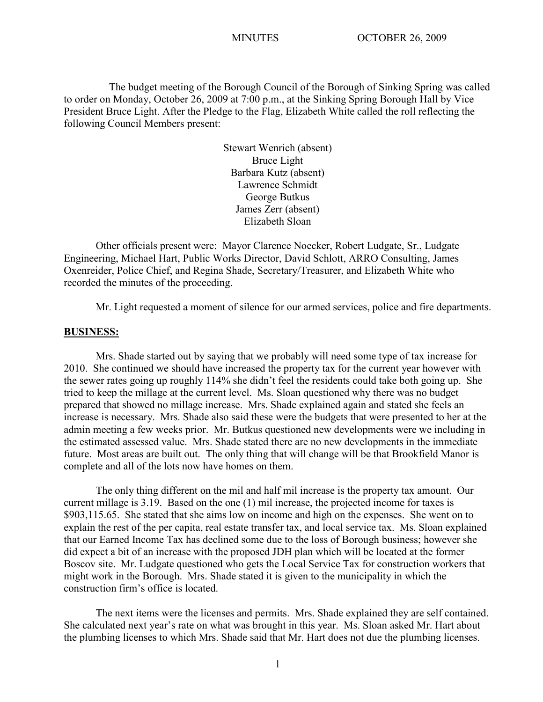The budget meeting of the Borough Council of the Borough of Sinking Spring was called to order on Monday, October 26, 2009 at 7:00 p.m., at the Sinking Spring Borough Hall by Vice President Bruce Light. After the Pledge to the Flag, Elizabeth White called the roll reflecting the following Council Members present:

> Stewart Wenrich (absent) Bruce Light Barbara Kutz (absent) Lawrence Schmidt George Butkus James Zerr (absent) Elizabeth Sloan

Other officials present were: Mayor Clarence Noecker, Robert Ludgate, Sr., Ludgate Engineering, Michael Hart, Public Works Director, David Schlott, ARRO Consulting, James Oxenreider, Police Chief, and Regina Shade, Secretary/Treasurer, and Elizabeth White who recorded the minutes of the proceeding.

Mr. Light requested a moment of silence for our armed services, police and fire departments.

### **BUSINESS:**

Mrs. Shade started out by saying that we probably will need some type of tax increase for 2010. She continued we should have increased the property tax for the current year however with the sewer rates going up roughly 114% she didn't feel the residents could take both going up. She tried to keep the millage at the current level. Ms. Sloan questioned why there was no budget prepared that showed no millage increase. Mrs. Shade explained again and stated she feels an increase is necessary. Mrs. Shade also said these were the budgets that were presented to her at the admin meeting a few weeks prior. Mr. Butkus questioned new developments were we including in the estimated assessed value. Mrs. Shade stated there are no new developments in the immediate future. Most areas are built out. The only thing that will change will be that Brookfield Manor is complete and all of the lots now have homes on them.

The only thing different on the mil and half mil increase is the property tax amount. Our current millage is 3.19. Based on the one (1) mil increase, the projected income for taxes is \$903,115.65. She stated that she aims low on income and high on the expenses. She went on to explain the rest of the per capita, real estate transfer tax, and local service tax. Ms. Sloan explained that our Earned Income Tax has declined some due to the loss of Borough business; however she did expect a bit of an increase with the proposed JDH plan which will be located at the former Boscov site. Mr. Ludgate questioned who gets the Local Service Tax for construction workers that might work in the Borough. Mrs. Shade stated it is given to the municipality in which the construction firm's office is located.

The next items were the licenses and permits. Mrs. Shade explained they are self contained. She calculated next year's rate on what was brought in this year. Ms. Sloan asked Mr. Hart about the plumbing licenses to which Mrs. Shade said that Mr. Hart does not due the plumbing licenses.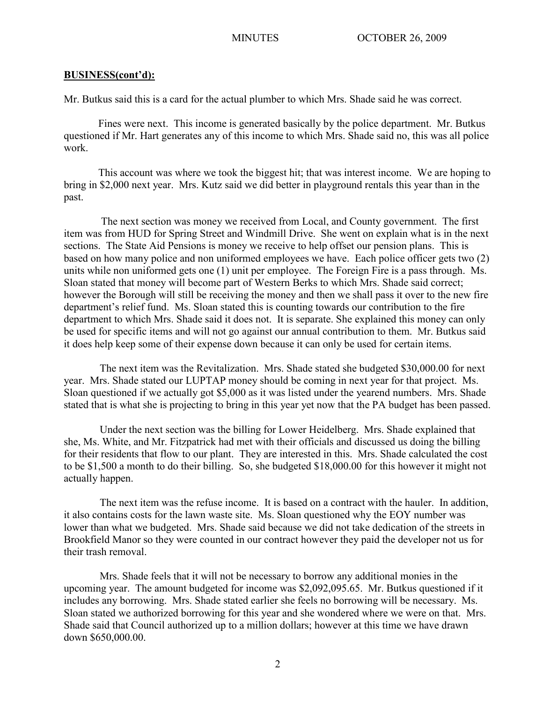Mr. Butkus said this is a card for the actual plumber to which Mrs. Shade said he was correct.

 Fines were next. This income is generated basically by the police department. Mr. Butkus questioned if Mr. Hart generates any of this income to which Mrs. Shade said no, this was all police work.

 This account was where we took the biggest hit; that was interest income. We are hoping to bring in \$2,000 next year. Mrs. Kutz said we did better in playground rentals this year than in the past.

 The next section was money we received from Local, and County government. The first item was from HUD for Spring Street and Windmill Drive. She went on explain what is in the next sections. The State Aid Pensions is money we receive to help offset our pension plans. This is based on how many police and non uniformed employees we have. Each police officer gets two (2) units while non uniformed gets one (1) unit per employee. The Foreign Fire is a pass through. Ms. Sloan stated that money will become part of Western Berks to which Mrs. Shade said correct; however the Borough will still be receiving the money and then we shall pass it over to the new fire department's relief fund. Ms. Sloan stated this is counting towards our contribution to the fire department to which Mrs. Shade said it does not. It is separate. She explained this money can only be used for specific items and will not go against our annual contribution to them. Mr. Butkus said it does help keep some of their expense down because it can only be used for certain items.

The next item was the Revitalization. Mrs. Shade stated she budgeted \$30,000.00 for next year. Mrs. Shade stated our LUPTAP money should be coming in next year for that project. Ms. Sloan questioned if we actually got \$5,000 as it was listed under the yearend numbers. Mrs. Shade stated that is what she is projecting to bring in this year yet now that the PA budget has been passed.

Under the next section was the billing for Lower Heidelberg. Mrs. Shade explained that she, Ms. White, and Mr. Fitzpatrick had met with their officials and discussed us doing the billing for their residents that flow to our plant. They are interested in this. Mrs. Shade calculated the cost to be \$1,500 a month to do their billing. So, she budgeted \$18,000.00 for this however it might not actually happen.

The next item was the refuse income. It is based on a contract with the hauler. In addition, it also contains costs for the lawn waste site. Ms. Sloan questioned why the EOY number was lower than what we budgeted. Mrs. Shade said because we did not take dedication of the streets in Brookfield Manor so they were counted in our contract however they paid the developer not us for their trash removal.

Mrs. Shade feels that it will not be necessary to borrow any additional monies in the upcoming year. The amount budgeted for income was \$2,092,095.65. Mr. Butkus questioned if it includes any borrowing. Mrs. Shade stated earlier she feels no borrowing will be necessary. Ms. Sloan stated we authorized borrowing for this year and she wondered where we were on that. Mrs. Shade said that Council authorized up to a million dollars; however at this time we have drawn down \$650,000.00.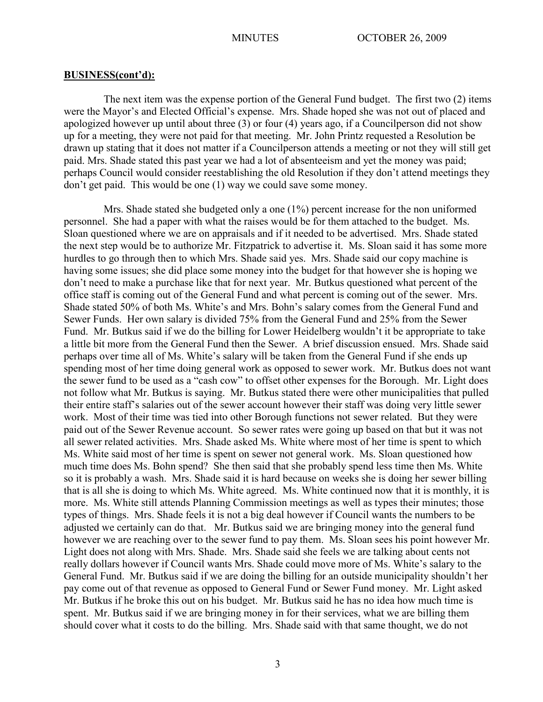The next item was the expense portion of the General Fund budget. The first two (2) items were the Mayor's and Elected Official's expense. Mrs. Shade hoped she was not out of placed and apologized however up until about three (3) or four (4) years ago, if a Councilperson did not show up for a meeting, they were not paid for that meeting. Mr. John Printz requested a Resolution be drawn up stating that it does not matter if a Councilperson attends a meeting or not they will still get paid. Mrs. Shade stated this past year we had a lot of absenteeism and yet the money was paid; perhaps Council would consider reestablishing the old Resolution if they don't attend meetings they don't get paid. This would be one (1) way we could save some money.

Mrs. Shade stated she budgeted only a one (1%) percent increase for the non uniformed personnel. She had a paper with what the raises would be for them attached to the budget. Ms. Sloan questioned where we are on appraisals and if it needed to be advertised. Mrs. Shade stated the next step would be to authorize Mr. Fitzpatrick to advertise it. Ms. Sloan said it has some more hurdles to go through then to which Mrs. Shade said yes. Mrs. Shade said our copy machine is having some issues; she did place some money into the budget for that however she is hoping we don't need to make a purchase like that for next year. Mr. Butkus questioned what percent of the office staff is coming out of the General Fund and what percent is coming out of the sewer. Mrs. Shade stated 50% of both Ms. White's and Mrs. Bohn's salary comes from the General Fund and Sewer Funds. Her own salary is divided 75% from the General Fund and 25% from the Sewer Fund. Mr. Butkus said if we do the billing for Lower Heidelberg wouldn't it be appropriate to take a little bit more from the General Fund then the Sewer. A brief discussion ensued. Mrs. Shade said perhaps over time all of Ms. White's salary will be taken from the General Fund if she ends up spending most of her time doing general work as opposed to sewer work. Mr. Butkus does not want the sewer fund to be used as a "cash cow" to offset other expenses for the Borough. Mr. Light does not follow what Mr. Butkus is saying. Mr. Butkus stated there were other municipalities that pulled their entire staff's salaries out of the sewer account however their staff was doing very little sewer work. Most of their time was tied into other Borough functions not sewer related. But they were paid out of the Sewer Revenue account. So sewer rates were going up based on that but it was not all sewer related activities. Mrs. Shade asked Ms. White where most of her time is spent to which Ms. White said most of her time is spent on sewer not general work. Ms. Sloan questioned how much time does Ms. Bohn spend? She then said that she probably spend less time then Ms. White so it is probably a wash. Mrs. Shade said it is hard because on weeks she is doing her sewer billing that is all she is doing to which Ms. White agreed. Ms. White continued now that it is monthly, it is more. Ms. White still attends Planning Commission meetings as well as types their minutes; those types of things. Mrs. Shade feels it is not a big deal however if Council wants the numbers to be adjusted we certainly can do that. Mr. Butkus said we are bringing money into the general fund however we are reaching over to the sewer fund to pay them. Ms. Sloan sees his point however Mr. Light does not along with Mrs. Shade. Mrs. Shade said she feels we are talking about cents not really dollars however if Council wants Mrs. Shade could move more of Ms. White's salary to the General Fund. Mr. Butkus said if we are doing the billing for an outside municipality shouldn't her pay come out of that revenue as opposed to General Fund or Sewer Fund money. Mr. Light asked Mr. Butkus if he broke this out on his budget. Mr. Butkus said he has no idea how much time is spent. Mr. Butkus said if we are bringing money in for their services, what we are billing them should cover what it costs to do the billing. Mrs. Shade said with that same thought, we do not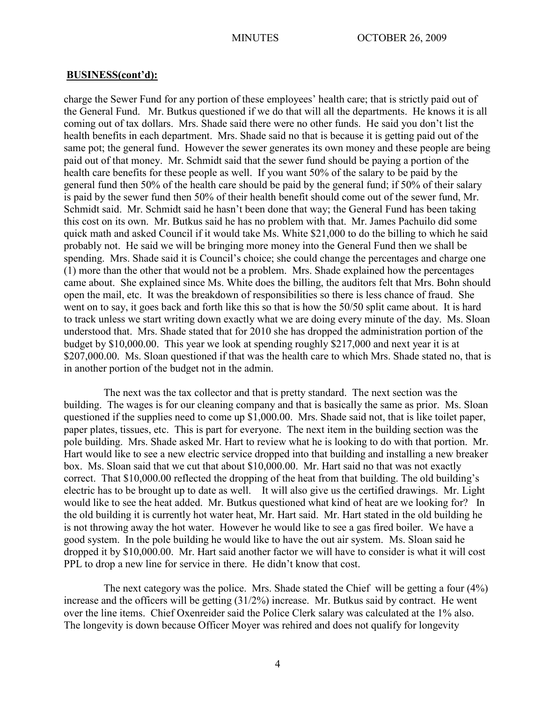charge the Sewer Fund for any portion of these employees' health care; that is strictly paid out of the General Fund. Mr. Butkus questioned if we do that will all the departments. He knows it is all coming out of tax dollars. Mrs. Shade said there were no other funds. He said you don't list the health benefits in each department. Mrs. Shade said no that is because it is getting paid out of the same pot; the general fund. However the sewer generates its own money and these people are being paid out of that money. Mr. Schmidt said that the sewer fund should be paying a portion of the health care benefits for these people as well. If you want 50% of the salary to be paid by the general fund then 50% of the health care should be paid by the general fund; if 50% of their salary is paid by the sewer fund then 50% of their health benefit should come out of the sewer fund, Mr. Schmidt said. Mr. Schmidt said he hasn't been done that way; the General Fund has been taking this cost on its own. Mr. Butkus said he has no problem with that. Mr. James Pachuilo did some quick math and asked Council if it would take Ms. White \$21,000 to do the billing to which he said probably not. He said we will be bringing more money into the General Fund then we shall be spending. Mrs. Shade said it is Council's choice; she could change the percentages and charge one (1) more than the other that would not be a problem. Mrs. Shade explained how the percentages came about. She explained since Ms. White does the billing, the auditors felt that Mrs. Bohn should open the mail, etc. It was the breakdown of responsibilities so there is less chance of fraud. She went on to say, it goes back and forth like this so that is how the 50/50 split came about. It is hard to track unless we start writing down exactly what we are doing every minute of the day. Ms. Sloan understood that. Mrs. Shade stated that for 2010 she has dropped the administration portion of the budget by \$10,000.00. This year we look at spending roughly \$217,000 and next year it is at \$207,000.00. Ms. Sloan questioned if that was the health care to which Mrs. Shade stated no, that is in another portion of the budget not in the admin.

The next was the tax collector and that is pretty standard. The next section was the building. The wages is for our cleaning company and that is basically the same as prior. Ms. Sloan questioned if the supplies need to come up \$1,000.00. Mrs. Shade said not, that is like toilet paper, paper plates, tissues, etc. This is part for everyone. The next item in the building section was the pole building. Mrs. Shade asked Mr. Hart to review what he is looking to do with that portion. Mr. Hart would like to see a new electric service dropped into that building and installing a new breaker box. Ms. Sloan said that we cut that about \$10,000.00. Mr. Hart said no that was not exactly correct. That \$10,000.00 reflected the dropping of the heat from that building. The old building's electric has to be brought up to date as well. It will also give us the certified drawings. Mr. Light would like to see the heat added. Mr. Butkus questioned what kind of heat are we looking for? In the old building it is currently hot water heat, Mr. Hart said. Mr. Hart stated in the old building he is not throwing away the hot water. However he would like to see a gas fired boiler. We have a good system. In the pole building he would like to have the out air system. Ms. Sloan said he dropped it by \$10,000.00. Mr. Hart said another factor we will have to consider is what it will cost PPL to drop a new line for service in there. He didn't know that cost.

The next category was the police. Mrs. Shade stated the Chief will be getting a four (4%) increase and the officers will be getting (31/2%) increase. Mr. Butkus said by contract. He went over the line items. Chief Oxenreider said the Police Clerk salary was calculated at the 1% also. The longevity is down because Officer Moyer was rehired and does not qualify for longevity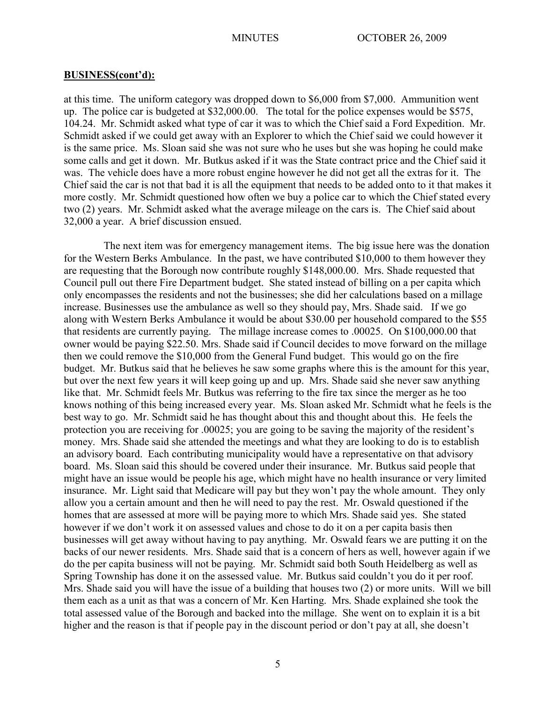at this time. The uniform category was dropped down to \$6,000 from \$7,000. Ammunition went up. The police car is budgeted at \$32,000.00. The total for the police expenses would be \$575, 104.24. Mr. Schmidt asked what type of car it was to which the Chief said a Ford Expedition. Mr. Schmidt asked if we could get away with an Explorer to which the Chief said we could however it is the same price. Ms. Sloan said she was not sure who he uses but she was hoping he could make some calls and get it down. Mr. Butkus asked if it was the State contract price and the Chief said it was. The vehicle does have a more robust engine however he did not get all the extras for it. The Chief said the car is not that bad it is all the equipment that needs to be added onto to it that makes it more costly. Mr. Schmidt questioned how often we buy a police car to which the Chief stated every two (2) years. Mr. Schmidt asked what the average mileage on the cars is. The Chief said about 32,000 a year. A brief discussion ensued.

The next item was for emergency management items. The big issue here was the donation for the Western Berks Ambulance. In the past, we have contributed \$10,000 to them however they are requesting that the Borough now contribute roughly \$148,000.00. Mrs. Shade requested that Council pull out there Fire Department budget. She stated instead of billing on a per capita which only encompasses the residents and not the businesses; she did her calculations based on a millage increase. Businesses use the ambulance as well so they should pay, Mrs. Shade said. If we go along with Western Berks Ambulance it would be about \$30.00 per household compared to the \$55 that residents are currently paying. The millage increase comes to .00025. On \$100,000.00 that owner would be paying \$22.50. Mrs. Shade said if Council decides to move forward on the millage then we could remove the \$10,000 from the General Fund budget. This would go on the fire budget. Mr. Butkus said that he believes he saw some graphs where this is the amount for this year, but over the next few years it will keep going up and up. Mrs. Shade said she never saw anything like that. Mr. Schmidt feels Mr. Butkus was referring to the fire tax since the merger as he too knows nothing of this being increased every year. Ms. Sloan asked Mr. Schmidt what he feels is the best way to go. Mr. Schmidt said he has thought about this and thought about this. He feels the protection you are receiving for .00025; you are going to be saving the majority of the resident's money. Mrs. Shade said she attended the meetings and what they are looking to do is to establish an advisory board. Each contributing municipality would have a representative on that advisory board. Ms. Sloan said this should be covered under their insurance. Mr. Butkus said people that might have an issue would be people his age, which might have no health insurance or very limited insurance. Mr. Light said that Medicare will pay but they won't pay the whole amount. They only allow you a certain amount and then he will need to pay the rest. Mr. Oswald questioned if the homes that are assessed at more will be paying more to which Mrs. Shade said yes. She stated however if we don't work it on assessed values and chose to do it on a per capita basis then businesses will get away without having to pay anything. Mr. Oswald fears we are putting it on the backs of our newer residents. Mrs. Shade said that is a concern of hers as well, however again if we do the per capita business will not be paying. Mr. Schmidt said both South Heidelberg as well as Spring Township has done it on the assessed value. Mr. Butkus said couldn't you do it per roof. Mrs. Shade said you will have the issue of a building that houses two (2) or more units. Will we bill them each as a unit as that was a concern of Mr. Ken Harting. Mrs. Shade explained she took the total assessed value of the Borough and backed into the millage. She went on to explain it is a bit higher and the reason is that if people pay in the discount period or don't pay at all, she doesn't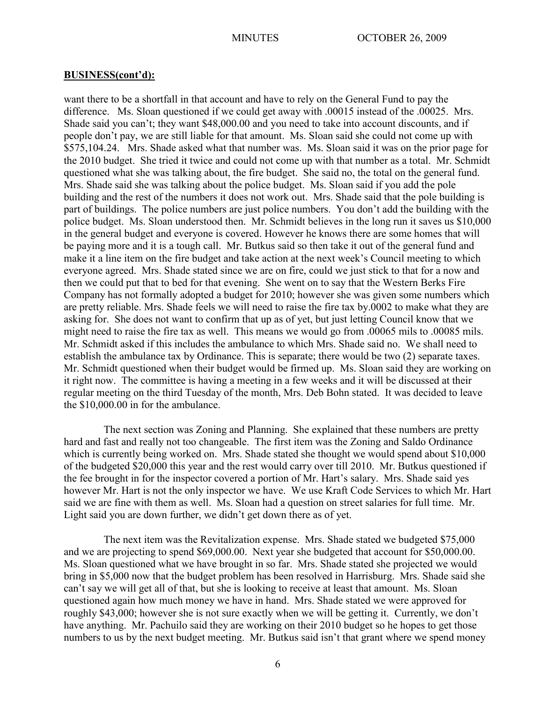want there to be a shortfall in that account and have to rely on the General Fund to pay the difference. Ms. Sloan questioned if we could get away with .00015 instead of the .00025. Mrs. Shade said you can't; they want \$48,000.00 and you need to take into account discounts, and if people don't pay, we are still liable for that amount. Ms. Sloan said she could not come up with \$575,104.24. Mrs. Shade asked what that number was. Ms. Sloan said it was on the prior page for the 2010 budget. She tried it twice and could not come up with that number as a total. Mr. Schmidt questioned what she was talking about, the fire budget. She said no, the total on the general fund. Mrs. Shade said she was talking about the police budget. Ms. Sloan said if you add the pole building and the rest of the numbers it does not work out. Mrs. Shade said that the pole building is part of buildings. The police numbers are just police numbers. You don't add the building with the police budget. Ms. Sloan understood then. Mr. Schmidt believes in the long run it saves us \$10,000 in the general budget and everyone is covered. However he knows there are some homes that will be paying more and it is a tough call. Mr. Butkus said so then take it out of the general fund and make it a line item on the fire budget and take action at the next week's Council meeting to which everyone agreed. Mrs. Shade stated since we are on fire, could we just stick to that for a now and then we could put that to bed for that evening. She went on to say that the Western Berks Fire Company has not formally adopted a budget for 2010; however she was given some numbers which are pretty reliable. Mrs. Shade feels we will need to raise the fire tax by.0002 to make what they are asking for. She does not want to confirm that up as of yet, but just letting Council know that we might need to raise the fire tax as well. This means we would go from .00065 mils to .00085 mils. Mr. Schmidt asked if this includes the ambulance to which Mrs. Shade said no. We shall need to establish the ambulance tax by Ordinance. This is separate; there would be two (2) separate taxes. Mr. Schmidt questioned when their budget would be firmed up. Ms. Sloan said they are working on it right now. The committee is having a meeting in a few weeks and it will be discussed at their regular meeting on the third Tuesday of the month, Mrs. Deb Bohn stated. It was decided to leave the \$10,000.00 in for the ambulance.

The next section was Zoning and Planning. She explained that these numbers are pretty hard and fast and really not too changeable. The first item was the Zoning and Saldo Ordinance which is currently being worked on. Mrs. Shade stated she thought we would spend about \$10,000 of the budgeted \$20,000 this year and the rest would carry over till 2010. Mr. Butkus questioned if the fee brought in for the inspector covered a portion of Mr. Hart's salary. Mrs. Shade said yes however Mr. Hart is not the only inspector we have. We use Kraft Code Services to which Mr. Hart said we are fine with them as well. Ms. Sloan had a question on street salaries for full time. Mr. Light said you are down further, we didn't get down there as of yet.

The next item was the Revitalization expense. Mrs. Shade stated we budgeted \$75,000 and we are projecting to spend \$69,000.00. Next year she budgeted that account for \$50,000.00. Ms. Sloan questioned what we have brought in so far. Mrs. Shade stated she projected we would bring in \$5,000 now that the budget problem has been resolved in Harrisburg. Mrs. Shade said she can't say we will get all of that, but she is looking to receive at least that amount. Ms. Sloan questioned again how much money we have in hand. Mrs. Shade stated we were approved for roughly \$43,000; however she is not sure exactly when we will be getting it. Currently, we don't have anything. Mr. Pachuilo said they are working on their 2010 budget so he hopes to get those numbers to us by the next budget meeting. Mr. Butkus said isn't that grant where we spend money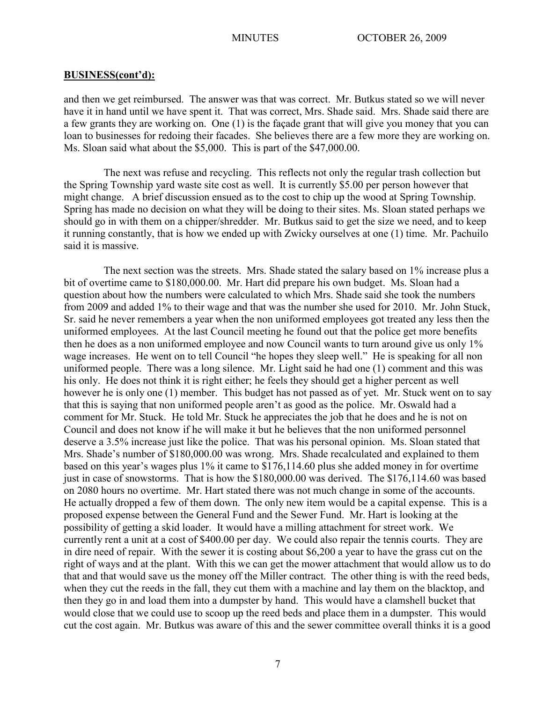and then we get reimbursed. The answer was that was correct. Mr. Butkus stated so we will never have it in hand until we have spent it. That was correct, Mrs. Shade said. Mrs. Shade said there are a few grants they are working on. One (1) is the façade grant that will give you money that you can loan to businesses for redoing their facades. She believes there are a few more they are working on. Ms. Sloan said what about the \$5,000. This is part of the \$47,000.00.

The next was refuse and recycling. This reflects not only the regular trash collection but the Spring Township yard waste site cost as well. It is currently \$5.00 per person however that might change. A brief discussion ensued as to the cost to chip up the wood at Spring Township. Spring has made no decision on what they will be doing to their sites. Ms. Sloan stated perhaps we should go in with them on a chipper/shredder. Mr. Butkus said to get the size we need, and to keep it running constantly, that is how we ended up with Zwicky ourselves at one (1) time. Mr. Pachuilo said it is massive.

The next section was the streets. Mrs. Shade stated the salary based on 1% increase plus a bit of overtime came to \$180,000.00. Mr. Hart did prepare his own budget. Ms. Sloan had a question about how the numbers were calculated to which Mrs. Shade said she took the numbers from 2009 and added 1% to their wage and that was the number she used for 2010. Mr. John Stuck, Sr. said he never remembers a year when the non uniformed employees got treated any less then the uniformed employees. At the last Council meeting he found out that the police get more benefits then he does as a non uniformed employee and now Council wants to turn around give us only 1% wage increases. He went on to tell Council "he hopes they sleep well." He is speaking for all non uniformed people. There was a long silence. Mr. Light said he had one (1) comment and this was his only. He does not think it is right either; he feels they should get a higher percent as well however he is only one (1) member. This budget has not passed as of yet. Mr. Stuck went on to say that this is saying that non uniformed people aren't as good as the police. Mr. Oswald had a comment for Mr. Stuck. He told Mr. Stuck he appreciates the job that he does and he is not on Council and does not know if he will make it but he believes that the non uniformed personnel deserve a 3.5% increase just like the police. That was his personal opinion. Ms. Sloan stated that Mrs. Shade's number of \$180,000.00 was wrong. Mrs. Shade recalculated and explained to them based on this year's wages plus 1% it came to \$176,114.60 plus she added money in for overtime just in case of snowstorms. That is how the \$180,000.00 was derived. The \$176,114.60 was based on 2080 hours no overtime. Mr. Hart stated there was not much change in some of the accounts. He actually dropped a few of them down. The only new item would be a capital expense. This is a proposed expense between the General Fund and the Sewer Fund. Mr. Hart is looking at the possibility of getting a skid loader. It would have a milling attachment for street work. We currently rent a unit at a cost of \$400.00 per day. We could also repair the tennis courts. They are in dire need of repair. With the sewer it is costing about \$6,200 a year to have the grass cut on the right of ways and at the plant. With this we can get the mower attachment that would allow us to do that and that would save us the money off the Miller contract. The other thing is with the reed beds, when they cut the reeds in the fall, they cut them with a machine and lay them on the blacktop, and then they go in and load them into a dumpster by hand. This would have a clamshell bucket that would close that we could use to scoop up the reed beds and place them in a dumpster. This would cut the cost again. Mr. Butkus was aware of this and the sewer committee overall thinks it is a good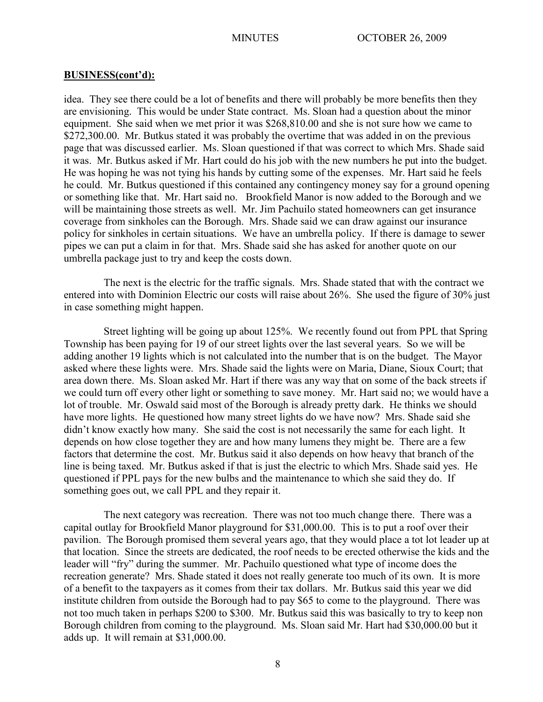idea. They see there could be a lot of benefits and there will probably be more benefits then they are envisioning. This would be under State contract. Ms. Sloan had a question about the minor equipment. She said when we met prior it was \$268,810.00 and she is not sure how we came to \$272,300.00. Mr. Butkus stated it was probably the overtime that was added in on the previous page that was discussed earlier. Ms. Sloan questioned if that was correct to which Mrs. Shade said it was. Mr. Butkus asked if Mr. Hart could do his job with the new numbers he put into the budget. He was hoping he was not tying his hands by cutting some of the expenses. Mr. Hart said he feels he could. Mr. Butkus questioned if this contained any contingency money say for a ground opening or something like that. Mr. Hart said no. Brookfield Manor is now added to the Borough and we will be maintaining those streets as well. Mr. Jim Pachuilo stated homeowners can get insurance coverage from sinkholes can the Borough. Mrs. Shade said we can draw against our insurance policy for sinkholes in certain situations. We have an umbrella policy. If there is damage to sewer pipes we can put a claim in for that. Mrs. Shade said she has asked for another quote on our umbrella package just to try and keep the costs down.

The next is the electric for the traffic signals. Mrs. Shade stated that with the contract we entered into with Dominion Electric our costs will raise about 26%. She used the figure of 30% just in case something might happen.

Street lighting will be going up about 125%. We recently found out from PPL that Spring Township has been paying for 19 of our street lights over the last several years. So we will be adding another 19 lights which is not calculated into the number that is on the budget. The Mayor asked where these lights were. Mrs. Shade said the lights were on Maria, Diane, Sioux Court; that area down there. Ms. Sloan asked Mr. Hart if there was any way that on some of the back streets if we could turn off every other light or something to save money. Mr. Hart said no; we would have a lot of trouble. Mr. Oswald said most of the Borough is already pretty dark. He thinks we should have more lights. He questioned how many street lights do we have now? Mrs. Shade said she didn't know exactly how many. She said the cost is not necessarily the same for each light. It depends on how close together they are and how many lumens they might be. There are a few factors that determine the cost. Mr. Butkus said it also depends on how heavy that branch of the line is being taxed. Mr. Butkus asked if that is just the electric to which Mrs. Shade said yes. He questioned if PPL pays for the new bulbs and the maintenance to which she said they do. If something goes out, we call PPL and they repair it.

The next category was recreation. There was not too much change there. There was a capital outlay for Brookfield Manor playground for \$31,000.00. This is to put a roof over their pavilion. The Borough promised them several years ago, that they would place a tot lot leader up at that location. Since the streets are dedicated, the roof needs to be erected otherwise the kids and the leader will "fry" during the summer. Mr. Pachuilo questioned what type of income does the recreation generate? Mrs. Shade stated it does not really generate too much of its own. It is more of a benefit to the taxpayers as it comes from their tax dollars. Mr. Butkus said this year we did institute children from outside the Borough had to pay \$65 to come to the playground. There was not too much taken in perhaps \$200 to \$300. Mr. Butkus said this was basically to try to keep non Borough children from coming to the playground. Ms. Sloan said Mr. Hart had \$30,000.00 but it adds up. It will remain at \$31,000.00.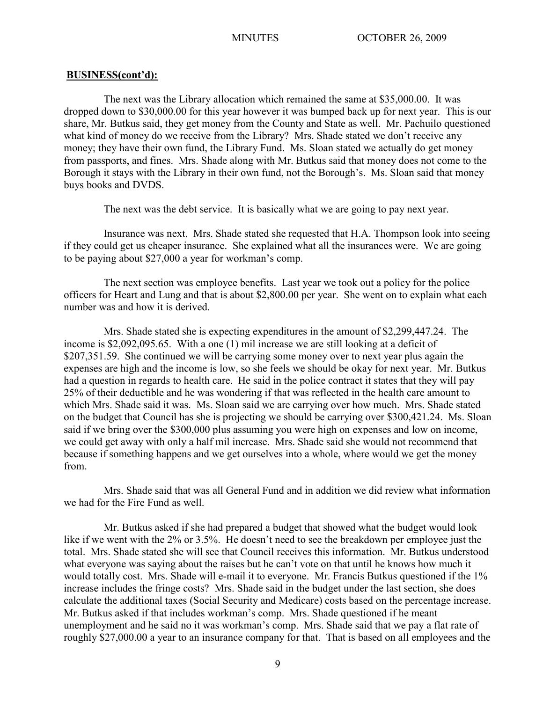The next was the Library allocation which remained the same at \$35,000.00. It was dropped down to \$30,000.00 for this year however it was bumped back up for next year. This is our share, Mr. Butkus said, they get money from the County and State as well. Mr. Pachuilo questioned what kind of money do we receive from the Library? Mrs. Shade stated we don't receive any money; they have their own fund, the Library Fund. Ms. Sloan stated we actually do get money from passports, and fines. Mrs. Shade along with Mr. Butkus said that money does not come to the Borough it stays with the Library in their own fund, not the Borough's. Ms. Sloan said that money buys books and DVDS.

The next was the debt service. It is basically what we are going to pay next year.

Insurance was next. Mrs. Shade stated she requested that H.A. Thompson look into seeing if they could get us cheaper insurance. She explained what all the insurances were. We are going to be paying about \$27,000 a year for workman's comp.

The next section was employee benefits. Last year we took out a policy for the police officers for Heart and Lung and that is about \$2,800.00 per year. She went on to explain what each number was and how it is derived.

Mrs. Shade stated she is expecting expenditures in the amount of \$2,299,447.24. The income is \$2,092,095.65. With a one (1) mil increase we are still looking at a deficit of \$207,351.59. She continued we will be carrying some money over to next year plus again the expenses are high and the income is low, so she feels we should be okay for next year. Mr. Butkus had a question in regards to health care. He said in the police contract it states that they will pay 25% of their deductible and he was wondering if that was reflected in the health care amount to which Mrs. Shade said it was. Ms. Sloan said we are carrying over how much. Mrs. Shade stated on the budget that Council has she is projecting we should be carrying over \$300,421.24. Ms. Sloan said if we bring over the \$300,000 plus assuming you were high on expenses and low on income, we could get away with only a half mil increase. Mrs. Shade said she would not recommend that because if something happens and we get ourselves into a whole, where would we get the money from.

Mrs. Shade said that was all General Fund and in addition we did review what information we had for the Fire Fund as well.

Mr. Butkus asked if she had prepared a budget that showed what the budget would look like if we went with the 2% or 3.5%. He doesn't need to see the breakdown per employee just the total. Mrs. Shade stated she will see that Council receives this information. Mr. Butkus understood what everyone was saying about the raises but he can't vote on that until he knows how much it would totally cost. Mrs. Shade will e-mail it to everyone. Mr. Francis Butkus questioned if the 1% increase includes the fringe costs? Mrs. Shade said in the budget under the last section, she does calculate the additional taxes (Social Security and Medicare) costs based on the percentage increase. Mr. Butkus asked if that includes workman's comp. Mrs. Shade questioned if he meant unemployment and he said no it was workman's comp. Mrs. Shade said that we pay a flat rate of roughly \$27,000.00 a year to an insurance company for that. That is based on all employees and the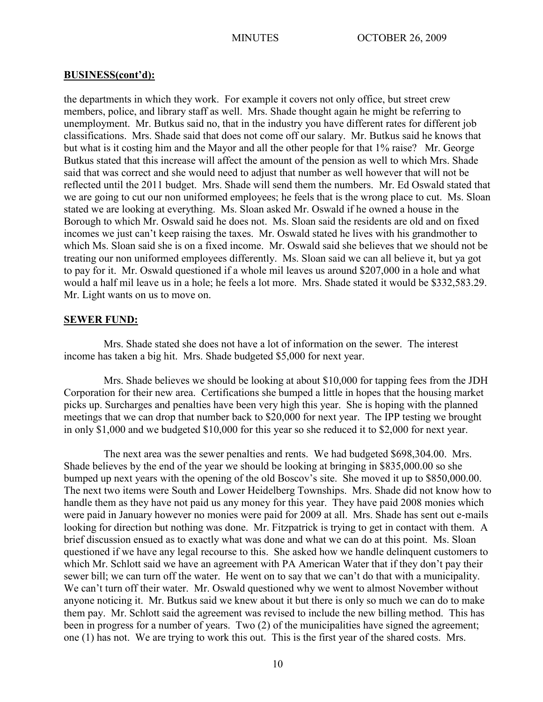the departments in which they work. For example it covers not only office, but street crew members, police, and library staff as well. Mrs. Shade thought again he might be referring to unemployment. Mr. Butkus said no, that in the industry you have different rates for different job classifications. Mrs. Shade said that does not come off our salary. Mr. Butkus said he knows that but what is it costing him and the Mayor and all the other people for that 1% raise? Mr. George Butkus stated that this increase will affect the amount of the pension as well to which Mrs. Shade said that was correct and she would need to adjust that number as well however that will not be reflected until the 2011 budget. Mrs. Shade will send them the numbers. Mr. Ed Oswald stated that we are going to cut our non uniformed employees; he feels that is the wrong place to cut. Ms. Sloan stated we are looking at everything. Ms. Sloan asked Mr. Oswald if he owned a house in the Borough to which Mr. Oswald said he does not. Ms. Sloan said the residents are old and on fixed incomes we just can't keep raising the taxes. Mr. Oswald stated he lives with his grandmother to which Ms. Sloan said she is on a fixed income. Mr. Oswald said she believes that we should not be treating our non uniformed employees differently. Ms. Sloan said we can all believe it, but ya got to pay for it. Mr. Oswald questioned if a whole mil leaves us around \$207,000 in a hole and what would a half mil leave us in a hole; he feels a lot more. Mrs. Shade stated it would be \$332,583.29. Mr. Light wants on us to move on.

#### **SEWER FUND:**

Mrs. Shade stated she does not have a lot of information on the sewer. The interest income has taken a big hit. Mrs. Shade budgeted \$5,000 for next year.

Mrs. Shade believes we should be looking at about \$10,000 for tapping fees from the JDH Corporation for their new area. Certifications she bumped a little in hopes that the housing market picks up. Surcharges and penalties have been very high this year. She is hoping with the planned meetings that we can drop that number back to \$20,000 for next year. The IPP testing we brought in only \$1,000 and we budgeted \$10,000 for this year so she reduced it to \$2,000 for next year.

The next area was the sewer penalties and rents. We had budgeted \$698,304.00. Mrs. Shade believes by the end of the year we should be looking at bringing in \$835,000.00 so she bumped up next years with the opening of the old Boscov's site. She moved it up to \$850,000.00. The next two items were South and Lower Heidelberg Townships. Mrs. Shade did not know how to handle them as they have not paid us any money for this year. They have paid 2008 monies which were paid in January however no monies were paid for 2009 at all. Mrs. Shade has sent out e-mails looking for direction but nothing was done. Mr. Fitzpatrick is trying to get in contact with them. A brief discussion ensued as to exactly what was done and what we can do at this point. Ms. Sloan questioned if we have any legal recourse to this. She asked how we handle delinquent customers to which Mr. Schlott said we have an agreement with PA American Water that if they don't pay their sewer bill; we can turn off the water. He went on to say that we can't do that with a municipality. We can't turn off their water. Mr. Oswald questioned why we went to almost November without anyone noticing it. Mr. Butkus said we knew about it but there is only so much we can do to make them pay. Mr. Schlott said the agreement was revised to include the new billing method. This has been in progress for a number of years. Two (2) of the municipalities have signed the agreement; one (1) has not. We are trying to work this out. This is the first year of the shared costs. Mrs.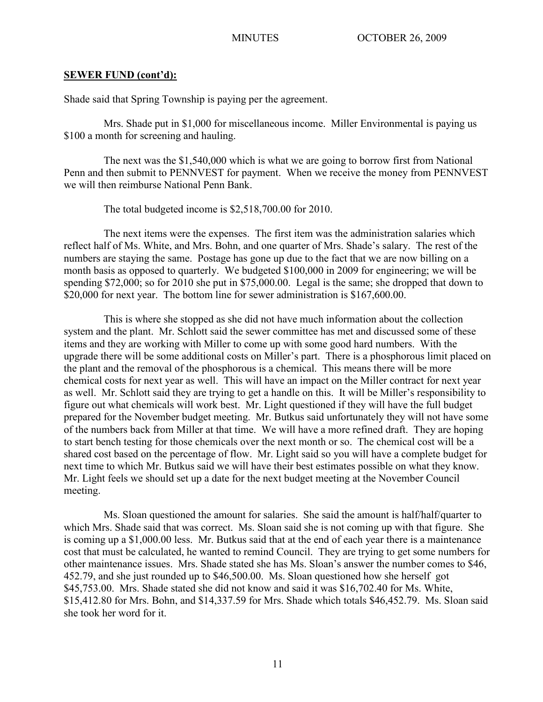## **SEWER FUND (cont'd):**

Shade said that Spring Township is paying per the agreement.

Mrs. Shade put in \$1,000 for miscellaneous income. Miller Environmental is paying us \$100 a month for screening and hauling.

The next was the \$1,540,000 which is what we are going to borrow first from National Penn and then submit to PENNVEST for payment. When we receive the money from PENNVEST we will then reimburse National Penn Bank.

The total budgeted income is \$2,518,700.00 for 2010.

The next items were the expenses. The first item was the administration salaries which reflect half of Ms. White, and Mrs. Bohn, and one quarter of Mrs. Shade's salary. The rest of the numbers are staying the same. Postage has gone up due to the fact that we are now billing on a month basis as opposed to quarterly. We budgeted \$100,000 in 2009 for engineering; we will be spending \$72,000; so for 2010 she put in \$75,000.00. Legal is the same; she dropped that down to \$20,000 for next year. The bottom line for sewer administration is \$167,600.00.

This is where she stopped as she did not have much information about the collection system and the plant. Mr. Schlott said the sewer committee has met and discussed some of these items and they are working with Miller to come up with some good hard numbers. With the upgrade there will be some additional costs on Miller's part. There is a phosphorous limit placed on the plant and the removal of the phosphorous is a chemical. This means there will be more chemical costs for next year as well. This will have an impact on the Miller contract for next year as well. Mr. Schlott said they are trying to get a handle on this. It will be Miller's responsibility to figure out what chemicals will work best. Mr. Light questioned if they will have the full budget prepared for the November budget meeting. Mr. Butkus said unfortunately they will not have some of the numbers back from Miller at that time. We will have a more refined draft. They are hoping to start bench testing for those chemicals over the next month or so. The chemical cost will be a shared cost based on the percentage of flow. Mr. Light said so you will have a complete budget for next time to which Mr. Butkus said we will have their best estimates possible on what they know. Mr. Light feels we should set up a date for the next budget meeting at the November Council meeting.

Ms. Sloan questioned the amount for salaries. She said the amount is half/half/quarter to which Mrs. Shade said that was correct. Ms. Sloan said she is not coming up with that figure. She is coming up a \$1,000.00 less. Mr. Butkus said that at the end of each year there is a maintenance cost that must be calculated, he wanted to remind Council. They are trying to get some numbers for other maintenance issues. Mrs. Shade stated she has Ms. Sloan's answer the number comes to \$46, 452.79, and she just rounded up to \$46,500.00. Ms. Sloan questioned how she herself got \$45,753.00. Mrs. Shade stated she did not know and said it was \$16,702.40 for Ms. White, \$15,412.80 for Mrs. Bohn, and \$14,337.59 for Mrs. Shade which totals \$46,452.79. Ms. Sloan said she took her word for it.